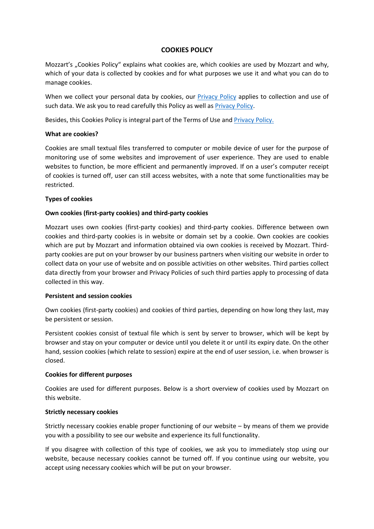# **COOKIES POLICY**

Mozzart's "Cookies Policy" explains what cookies are, which cookies are used by Mozzart and why, which of your data is collected by cookies and for what purposes we use it and what you can do to manage cookies.

When we collect your personal data by cookies, our Privacy Policy applies to collection and use of such data. We ask you to read carefully this Policy as well as **Privacy Policy**.

Besides, this Cookies Policy is integral part of the Terms of Use and **Privacy Policy**.

# **What are cookies?**

Cookies are small textual files transferred to computer or mobile device of user for the purpose of monitoring use of some websites and improvement of user experience. They are used to enable websites to function, be more efficient and permanently improved. If on a user's computer receipt of cookies is turned off, user can still access websites, with a note that some functionalities may be restricted.

# **Types of cookies**

# **Own cookies (first-party cookies) and third-party cookies**

Mozzart uses own cookies (first-party cookies) and third-party cookies. Difference between own cookies and third-party cookies is in website or domain set by a cookie. Own cookies are cookies which are put by Mozzart and information obtained via own cookies is received by Mozzart. Thirdparty cookies are put on your browser by our business partners when visiting our website in order to collect data on your use of website and on possible activities on other websites. Third parties collect data directly from your browser and Privacy Policies of such third parties apply to processing of data collected in this way.

# **Persistent and session cookies**

Own cookies (first-party cookies) and cookies of third parties, depending on how long they last, may be persistent or session.

Persistent cookies consist of textual file which is sent by server to browser, which will be kept by browser and stay on your computer or device until you delete it or until its expiry date. On the other hand, session cookies (which relate to session) expire at the end of user session, i.e. when browser is closed.

# **Cookies for different purposes**

Cookies are used for different purposes. Below is a short overview of cookies used by Mozzart on this website.

# **Strictly necessary cookies**

Strictly necessary cookies enable proper functioning of our website – by means of them we provide you with a possibility to see our website and experience its full functionality.

If you disagree with collection of this type of cookies, we ask you to immediately stop using our website, because necessary cookies cannot be turned off. If you continue using our website, you accept using necessary cookies which will be put on your browser.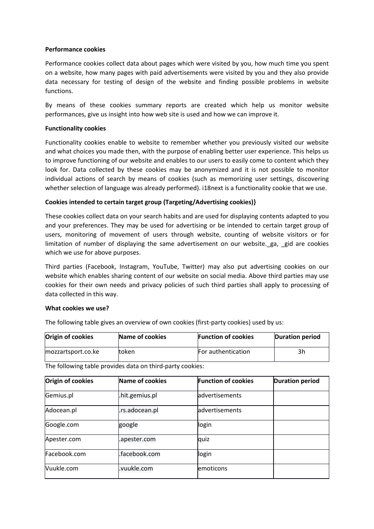### **Performance cookies**

Performance cookies collect data about pages which were visited by you, how much time you spent on a website, how many pages with paid advertisements were visited by you and they also provide data necessary for testing of design of the website and finding possible problems in website functions.

By means of these cookies summary reports are created which help us monitor website performances, give us insight into how web site is used and how we can improve it.

### **Functionality cookies**

Functionality cookies enable to website to remember whether you previously visited our website and what choices you made then, with the purpose of enabling better user experience. This helps us to improve functioning of our website and enables to our users to easily come to content which they look for. Data collected by these cookies may be anonymized and it is not possible to monitor individual actions of search by means of cookies (such as memorizing user settings, discovering whether selection of language was already performed). i18next is a functionality cookie that we use.

# **Cookies intended to certain target group (Targeting/Advertising cookies)}**

These cookies collect data on your search habits and are used for displaying contents adapted to you and your preferences. They may be used for advertising or be intended to certain target group of users, monitoring of movement of users through website, counting of website visitors or for limitation of number of displaying the same advertisement on our website.\_ga, \_gid are cookies which we use for above purposes.

Third parties (Facebook, Instagram, YouTube, Twitter) may also put advertising cookies on our website which enables sharing content of our website on social media. Above third parties may use cookies for their own needs and privacy policies of such third parties shall apply to processing of data collected in this way.

#### **What cookies we use?**

The following table gives an overview of own cookies (first-party cookies) used by us:

| <b>Origin of cookies</b> | Name of cookies | <b>Function of cookies</b> | Duration period |
|--------------------------|-----------------|----------------------------|-----------------|
| mozzartsport.co.ke       | ltoken          | For authentication         | 3h              |

The following table provides data on third-party cookies:

| Origin of cookies | Name of cookies | <b>Function of cookies</b> | <b>Duration period</b> |
|-------------------|-----------------|----------------------------|------------------------|
| Gemius.pl         | .hit.gemius.pl  | advertisements             |                        |
| Adocean.pl        | .rs.adocean.pl  | advertisements             |                        |
| Google.com        | google          | login                      |                        |
| Apester.com       | .apester.com    | quiz                       |                        |
| Facebook.com      | .facebook.com   | login                      |                        |
| Vuukle.com        | vuukle.com      | emoticons                  |                        |